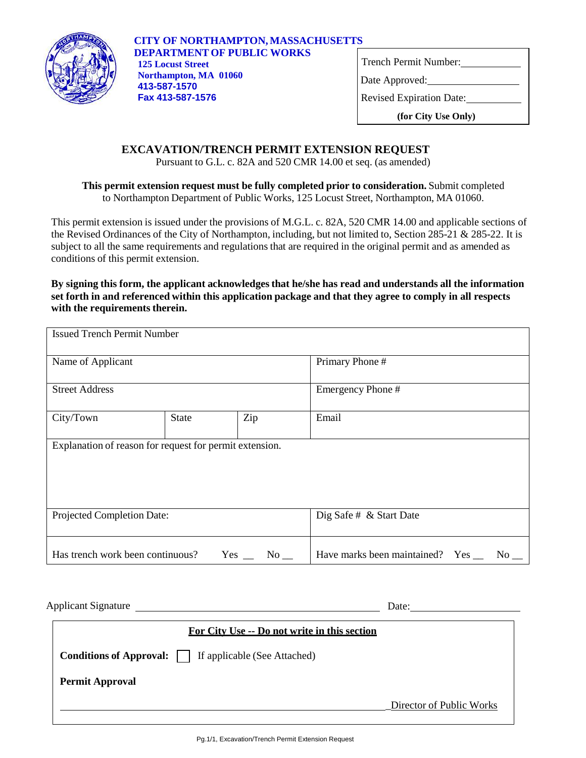

|  | Trench Permit Number: |  |
|--|-----------------------|--|
|  |                       |  |

Date Approved:

Revised Expiration Date:

**(for City Use Only)**

## **EXCAVATION/TRENCH PERMIT EXTENSION REQUEST**

Pursuant to G.L. c. 82A and 520 CMR 14.00 et seq. (as amended)

**This permit extension request must be fully completed prior to consideration.** Submit completed to Northampton Department of Public Works, 125 Locust Street, Northampton, MA 01060.

This permit extension is issued under the provisions of M.G.L. c. 82A, 520 CMR 14.00 and applicable sections of the Revised Ordinances of the City of Northampton, including, but not limited to, Section 285-21 & 285-22. It is subject to all the same requirements and regulations that are required in the original permit and as amended as conditions of this permit extension.

**By signing this form, the applicant acknowledgesthat he/she has read and understands all the information set forth in and referenced within this application package and that they agree to comply in all respects with the requirements therein.**

| <b>Issued Trench Permit Number</b>                      |              |                       |                                             |
|---------------------------------------------------------|--------------|-----------------------|---------------------------------------------|
| Name of Applicant<br><b>Street Address</b>              |              |                       | Primary Phone#                              |
|                                                         |              |                       | Emergency Phone #                           |
| City/Town                                               | <b>State</b> | Zip                   | Email                                       |
| Explanation of reason for request for permit extension. |              |                       |                                             |
| Projected Completion Date:                              |              |                       | Dig Safe # & Start Date                     |
| Has trench work been continuous?                        |              | Yes<br>$\rm No$ $\_\$ | Have marks been maintained? Yes ___<br>No r |

| For City Use -- Do not write in this section                    |                          |
|-----------------------------------------------------------------|--------------------------|
| <b>Conditions of Approval:</b>     If applicable (See Attached) |                          |
| <b>Permit Approval</b>                                          |                          |
|                                                                 | Director of Public Works |